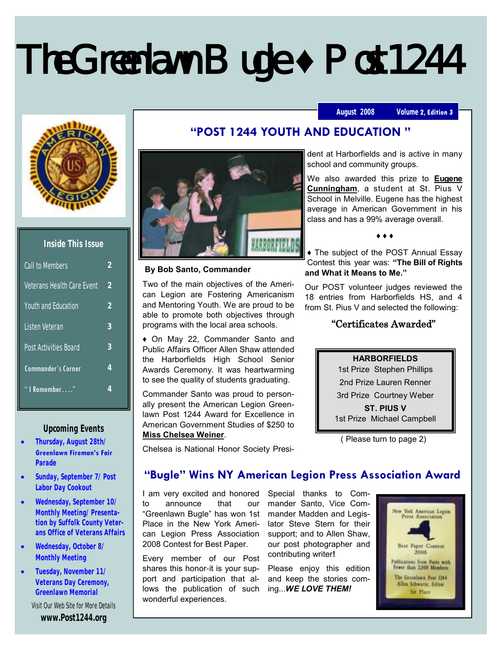# The Greenlawn Bugle **♦** Post 1244

### **August 2008 Volume**





| Inside This Issue |
|-------------------|
|-------------------|

| Call to Members              | ')            |
|------------------------------|---------------|
| Veterans Health Care Event   | 2             |
| Youth and Education          | $\mathcal{P}$ |
| I isten Veteran              | 3             |
| <b>Post Activities Board</b> | 3             |
| <b>Commander's Corner</b>    | 4             |
| "   Remember"                | 4             |

### **Upcoming Events**

- **Thursday, August 28th/ Greenlawn Fireman's Fair Parade**
- **Sunday, September 7/ Post Labor Day Cookout**
- **Wednesday, September 10/ Monthly Meeting/ Presentation by Suffolk County Veterans Office of Veterans Affairs**
- **Wednesday, October 8/ Monthly Meeting**
- **Tuesday, November 11/ Veterans Day Ceremony, Greenlawn Memorial** Visit Our Web Site for More Details **www.Post1244.org**



### **By Bob Santo, Commander**

Two of the main objectives of the American Legion are Fostering Americanism and Mentoring Youth. We are proud to be able to promote both objectives through programs with the local area schools.

♦ On May 22, Commander Santo and Public Affairs Officer Allen Shaw attended the Harborfields High School Senior Awards Ceremony. It was heartwarming to see the quality of students graduating.

Commander Santo was proud to personally present the American Legion Greenlawn Post 1244 Award for Excellence in American Government Studies of \$250 to **Miss Chelsea Weiner**.

Chelsea is National Honor Society Presi-

**"POST 1244 YOUTH AND EDUCATION "**

dent at Harborfields and is active in many school and community groups.

We also awarded this prize to **Eugene Cunningham**, a student at St. Pius V School in Melville. Eugene has the highest average in American Government in his class and has a 99% average overall.

♦ ♦ ♦

♦ The subject of the POST Annual Essay Contest this year was: **"The Bill of Rights and What it Means to Me."**

Our POST volunteer judges reviewed the 18 entries from Harborfields HS, and 4 from St. Pius V and selected the following:

## "Certificates Awarded"

### **HARBORFIELDS**

1st Prize Stephen Phillips 2nd Prize Lauren Renner 3rd Prize Courtney Weber **ST. PIUS V** 1st Prize Michael Campbell

( Please turn to page 2)

# **"Bugle" Wins NY American Legion Press Association Award**

I am very excited and honored Special thanks to Comto announce that our "Greenlawn Bugle" has won 1st Place in the New York American Legion Press Association 2008 Contest for Best Paper.

Every member of our Post shares this honor-it is your support and participation that allows the publication of such wonderful experiences.

mander Santo, Vice Commander Madden and Legislator Steve Stern for their support; and to Allen Shaw, our post photographer and contributing writer**!** 

Please enjoy this edition and keep the stories coming...*WE LOVE THEM!*

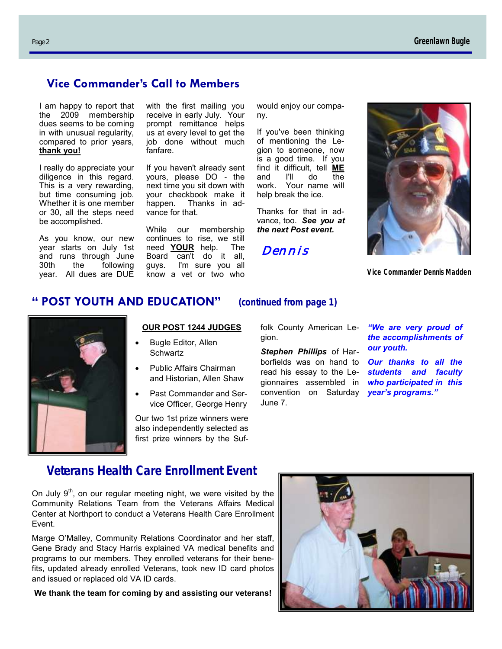# **Vice Commander's Call to Members**

I am happy to report that the 2009 membership dues seems to be coming in with unusual regularity, compared to prior years, **thank you!**

I really do appreciate your diligence in this regard. This is a very rewarding, but time consuming job. Whether it is one member or 30, all the steps need be accomplished.

As you know, our new year starts on July 1st and runs through June<br>30th the following the following year. All dues are DUE

with the first mailing you receive in early July. Your prompt remittance helps us at every level to get the job done without much fanfare.

If you haven't already sent yours, please DO - the next time you sit down with your checkbook make it happen. Thanks in advance for that.

While our membership continues to rise, we still<br>need **YOUR** help. The need **YOUR** help. Board can't do it all, guys. I'm sure you all know a vet or two who

would enjoy our company.

If you've been thinking of mentioning the Legion to someone, now is a good time. If you find it difficult, tell **ME** and I'll do the work. Your name will help break the ice.

Thanks for that in advance, too. *See you at the next Post event.*

*Dennis* 



*Vice Commander Dennis Madden*

# **" POST YOUTH AND EDUCATION" (continued from page 1)**



### **OUR POST 1244 JUDGES**

- Bugle Editor, Allen **Schwartz**
- Public Affairs Chairman and Historian, Allen Shaw
- Past Commander and Service Officer, George Henry

Our two 1st prize winners were also independently selected as first prize winners by the Suf-

folk County American Legion.

*year's programs."*  convention on Saturday *Stephen Phillips* of Harborfields was on hand to read his essay to the Legionnaires assembled in June 7.

*"We are very proud of the accomplishments of our youth.* 

*Our thanks to all the students and faculty who participated in this* 

# **Veterans Health Care Enrollment Event**

On July  $9<sup>th</sup>$ , on our regular meeting night, we were visited by the Community Relations Team from the Veterans Affairs Medical Center at Northport to conduct a Veterans Health Care Enrollment Event.

Marge O'Malley, Community Relations Coordinator and her staff, Gene Brady and Stacy Harris explained VA medical benefits and programs to our members. They enrolled veterans for their benefits, updated already enrolled Veterans, took new ID card photos and issued or replaced old VA ID cards.

**We thank the team for coming by and assisting our veterans!**

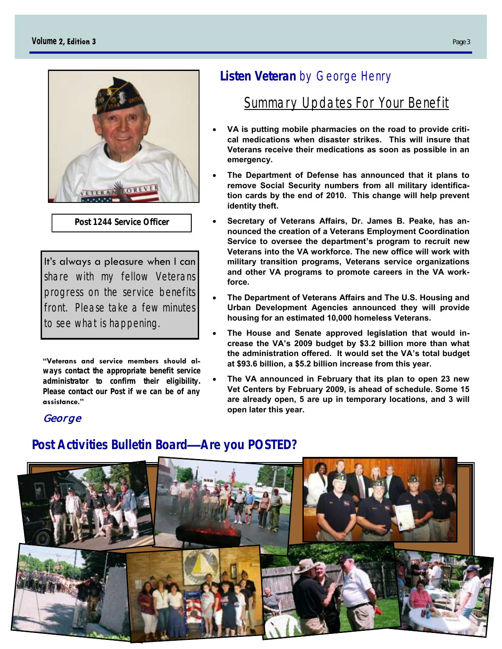

**Post 1244 Service Officer**

It's always a pleasure when I can share with my fellow Veterans progress on the service benefits front. Please take a few minutes to see what is happening.

**"Veterans and service members should always contact the appropriate benefit service administrator to confirm their eligibility. Please contact our Post if we can be of any assistance."**

# *George*

# **Listen Veteran** by George Henry

# Summary Updates For Your Benefit

- **VA is putting mobile pharmacies on the road to provide critical medications when disaster strikes. This will insure that Veterans receive their medications as soon as possible in an emergency.**
- **The Department of Defense has announced that it plans to remove Social Security numbers from all military identification cards by the end of 2010. This change will help prevent identity theft.**
- **Secretary of Veterans Affairs, Dr. James B. Peake, has announced the creation of a Veterans Employment Coordination Service to oversee the department's program to recruit new Veterans into the VA workforce. The new office will work with military transition programs, Veterans service organizations and other VA programs to promote careers in the VA workforce.**
- **The Department of Veterans Affairs and The U.S. Housing and Urban Development Agencies announced they will provide housing for an estimated 10,000 homeless Veterans.**
- **The House and Senate approved legislation that would increase the VA's 2009 budget by \$3.2 billion more than what the administration offered. It would set the VA's total budget at \$93.6 billion, a \$5.2 billion increase from this year.**
- **The VA announced in February that its plan to open 23 new Vet Centers by February 2009, is ahead of schedule. Some 15 are already open, 5 are up in temporary locations, and 3 will open later this year.**

# **Post Activities Bulletin Board—Are you POSTED?**